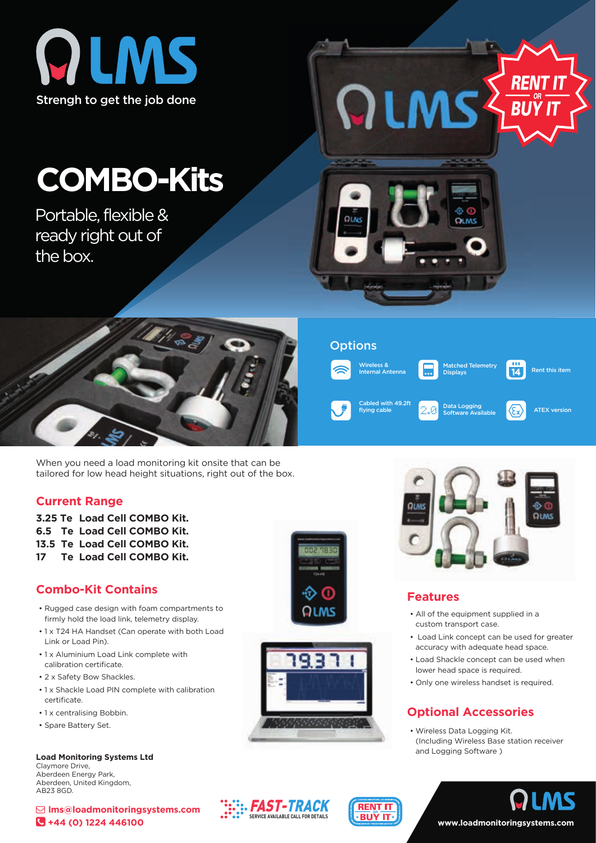

# **COMBO-Kits**

Portable, flexible & ready right out of the box.



When you need a load monitoring kit onsite that can be tailored for low head height situations, right out of the box.

#### **Current Range**

**3.25 Te Load Cell COMBO Kit. 6.5 Te Load Cell COMBO Kit. 13.5 Te Load Cell COMBO Kit. 17 Te Load Cell COMBO Kit.**

# **Combo-Kit Contains**

- Rugged case design with foam compartments to firmly hold the load link, telemetry display.
- 1 x T24 HA Handset (Can operate with both Load Link or Load Pin).
- 1 x Aluminium Load Link complete with calibration certificate.
- 2 x Safety Bow Shackles.
- 1 x Shackle Load PIN complete with calibration certificate
- 1 x centralising Bobbin.
- Spare Battery Set.

AB23 8GD.

**Load Monitoring Systems Ltd** Claymore Drive, Aberdeen Energy Park, Aberdeen, United Kingdom,

 **lms@loadmonitoringsystems.com +44 (0) 1224 446100**





**RENT IT** ∗BUŸ IT

**::. FAST-TRACK SERVICE AVAILABLE CALL FOR DETAILS**



Data Logging Software Available

Cabled with 49.2ft<br>
flying cable **ATEX version**<br>  $\begin{array}{|c|c|c|c|}\n\hline\n\end{array}$  Poftuers Augilable **ATEX** version

latched Telemetry Displays

Rent this item

-111  $\overline{14}$ 

*RENT* 

**BUY IT** 

#### **Features**

- All of the equipment supplied in a custom transport case.
- Load Link concept can be used for greater accuracy with adequate head space.
- Load Shackle concept can be used when lower head space is required.
- Only one wireless handset is required.

# **Optional Accessories**

• Wireless Data Logging Kit. (Including Wireless Base station receiver and Logging Software )

**www.loadmonitoringsystems.com**



## **Options**

Wireless & Internal Antenna

QLMS